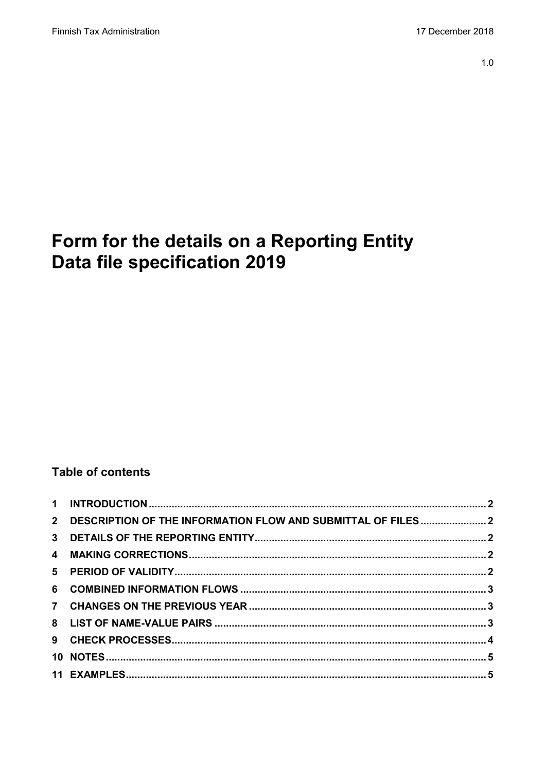# Form for the details on a Reporting Entity **Data file specification 2019**

## **Table of contents**

| 2 DESCRIPTION OF THE INFORMATION FLOW AND SUBMITTAL OF FILES  2 |  |
|-----------------------------------------------------------------|--|
|                                                                 |  |
|                                                                 |  |
|                                                                 |  |
|                                                                 |  |
|                                                                 |  |
|                                                                 |  |
|                                                                 |  |
|                                                                 |  |
|                                                                 |  |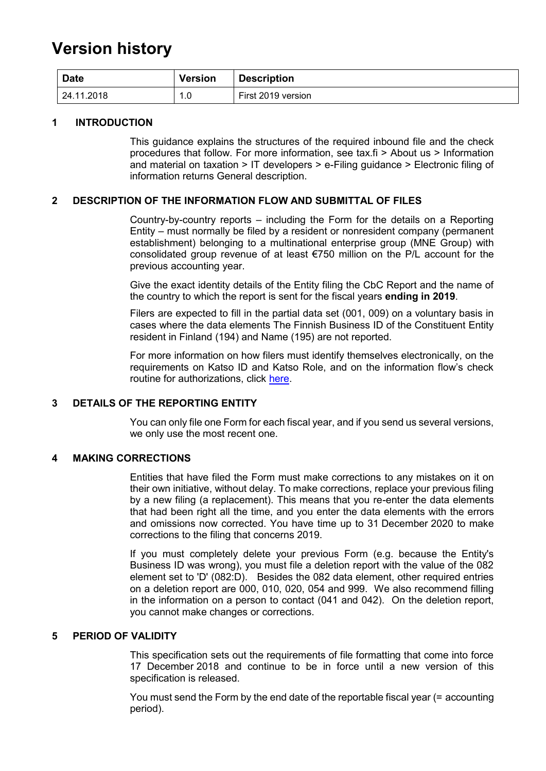## **Version history**

| <b>Date</b> | <b>Version</b> | <b>Description</b> |
|-------------|----------------|--------------------|
| 24.11.2018  | 0.،            | First 2019 version |

#### <span id="page-1-0"></span>**1 INTRODUCTION**

This guidance explains the structures of the required inbound file and the check procedures that follow. For more information, see tax.fi > About us > Information and material on taxation > IT developers > e-Filing guidance > Electronic filing of information returns General description.

#### <span id="page-1-1"></span>**2 DESCRIPTION OF THE INFORMATION FLOW AND SUBMITTAL OF FILES**

Country-by-country reports – including the Form for the details on a Reporting Entity – must normally be filed by a resident or nonresident company (permanent establishment) belonging to a multinational enterprise group (MNE Group) with consolidated group revenue of at least €750 million on the P/L account for the previous accounting year.

Give the exact identity details of the Entity filing the CbC Report and the name of the country to which the report is sent for the fiscal years **ending in 2019**.

Filers are expected to fill in the partial data set (001, 009) on a voluntary basis in cases where the data elements The Finnish Business ID of the Constituent Entity resident in Finland (194) and Name (195) are not reported.

For more information on how filers must identify themselves electronically, on the requirements on Katso ID and Katso Role, and on the information flow's check routine for authorizations, click [here.](https://www.ilmoitin.fi/webtamo/sivut/IlmoituslajiRoolit?kieli=en&tv=CBCSEL)

#### <span id="page-1-2"></span>**3 DETAILS OF THE REPORTING ENTITY**

You can only file one Form for each fiscal year, and if you send us several versions, we only use the most recent one.

#### <span id="page-1-3"></span>**4 MAKING CORRECTIONS**

Entities that have filed the Form must make corrections to any mistakes on it on their own initiative, without delay. To make corrections, replace your previous filing by a new filing (a replacement). This means that you re-enter the data elements that had been right all the time, and you enter the data elements with the errors and omissions now corrected. You have time up to 31 December 2020 to make corrections to the filing that concerns 2019.

If you must completely delete your previous Form (e.g. because the Entity's Business ID was wrong), you must file a deletion report with the value of the 082 element set to 'D' (082:D). Besides the 082 data element, other required entries on a deletion report are 000, 010, 020, 054 and 999. We also recommend filling in the information on a person to contact (041 and 042). On the deletion report, you cannot make changes or corrections.

#### <span id="page-1-4"></span>**5 PERIOD OF VALIDITY**

This specification sets out the requirements of file formatting that come into force 17 December 2018 and continue to be in force until a new version of this specification is released.

You must send the Form by the end date of the reportable fiscal year (= accounting period).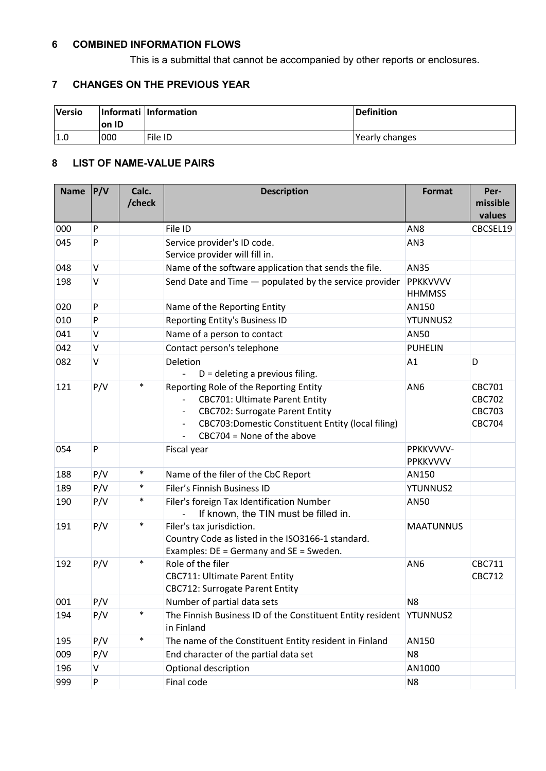## <span id="page-2-0"></span>**6 COMBINED INFORMATION FLOWS**

This is a submittal that cannot be accompanied by other reports or enclosures.

### <span id="page-2-1"></span>**7 CHANGES ON THE PREVIOUS YEAR**

<span id="page-2-2"></span>

| <b>Versio</b> | on ID | Informati Information | Definition     |
|---------------|-------|-----------------------|----------------|
| 1.0           | 000   | File ID               | Yearly changes |

#### **8 LIST OF NAME-VALUE PAIRS**

| <b>Name</b> | P/V | Calc.<br>/check | <b>Description</b>                                                                                                                                                                                                                                                                                 | <b>Format</b>                    | Per-<br>missible<br>values                                       |
|-------------|-----|-----------------|----------------------------------------------------------------------------------------------------------------------------------------------------------------------------------------------------------------------------------------------------------------------------------------------------|----------------------------------|------------------------------------------------------------------|
| 000         | P   |                 | File ID                                                                                                                                                                                                                                                                                            | AN8                              | CBCSEL19                                                         |
| 045         | P   |                 | Service provider's ID code.<br>Service provider will fill in.                                                                                                                                                                                                                                      | AN3                              |                                                                  |
| 048         | V   |                 | Name of the software application that sends the file.                                                                                                                                                                                                                                              | AN35                             |                                                                  |
| 198         | V   |                 | Send Date and Time - populated by the service provider                                                                                                                                                                                                                                             | <b>PPKKVVVV</b><br><b>HHMMSS</b> |                                                                  |
| 020         | P   |                 | Name of the Reporting Entity                                                                                                                                                                                                                                                                       | AN150                            |                                                                  |
| 010         | P   |                 | Reporting Entity's Business ID                                                                                                                                                                                                                                                                     | <b>YTUNNUS2</b>                  |                                                                  |
| 041         | V   |                 | Name of a person to contact                                                                                                                                                                                                                                                                        | AN50                             |                                                                  |
| 042         | V   |                 | Contact person's telephone                                                                                                                                                                                                                                                                         | <b>PUHELIN</b>                   |                                                                  |
| 082         | V   |                 | Deletion<br>$D =$ deleting a previous filing.                                                                                                                                                                                                                                                      | A1                               | D                                                                |
| 121         | P/V | $\ast$          | Reporting Role of the Reporting Entity<br><b>CBC701: Ultimate Parent Entity</b><br>$\overline{\phantom{a}}$<br><b>CBC702: Surrogate Parent Entity</b><br>$\overline{\phantom{a}}$<br>CBC703:Domestic Constituent Entity (local filing)<br>$\overline{\phantom{a}}$<br>$CBC704 = None of the above$ | AN <sub>6</sub>                  | <b>CBC701</b><br><b>CBC702</b><br><b>CBC703</b><br><b>CBC704</b> |
| 054         | P   |                 | Fiscal year                                                                                                                                                                                                                                                                                        | PPKKVVVV-<br><b>PPKKVVVV</b>     |                                                                  |
| 188         | P/V | $\ast$          | Name of the filer of the CbC Report                                                                                                                                                                                                                                                                | AN150                            |                                                                  |
| 189         | P/V | $\ast$          | Filer's Finnish Business ID                                                                                                                                                                                                                                                                        | <b>YTUNNUS2</b>                  |                                                                  |
| 190         | P/V | $\ast$          | Filer's foreign Tax Identification Number<br>If known, the TIN must be filled in.                                                                                                                                                                                                                  | AN50                             |                                                                  |
| 191         | P/V | $\ast$          | Filer's tax jurisdiction.<br>Country Code as listed in the ISO3166-1 standard.<br>Examples: DE = Germany and SE = Sweden.                                                                                                                                                                          | <b>MAATUNNUS</b>                 |                                                                  |
| 192         | P/V | $\ast$          | Role of the filer<br><b>CBC711: Ultimate Parent Entity</b><br><b>CBC712: Surrogate Parent Entity</b>                                                                                                                                                                                               | AN <sub>6</sub>                  | CBC711<br><b>CBC712</b>                                          |
| 001         | P/V |                 | Number of partial data sets                                                                                                                                                                                                                                                                        | N <sub>8</sub>                   |                                                                  |
| 194         | P/V | $\ast$          | The Finnish Business ID of the Constituent Entity resident<br>in Finland                                                                                                                                                                                                                           | <b>YTUNNUS2</b>                  |                                                                  |
| 195         | P/V | $\ast$          | The name of the Constituent Entity resident in Finland                                                                                                                                                                                                                                             | AN150                            |                                                                  |
| 009         | P/V |                 | End character of the partial data set                                                                                                                                                                                                                                                              | N <sub>8</sub>                   |                                                                  |
| 196         | V   |                 | Optional description                                                                                                                                                                                                                                                                               | AN1000                           |                                                                  |
| 999         | P   |                 | Final code                                                                                                                                                                                                                                                                                         | N <sub>8</sub>                   |                                                                  |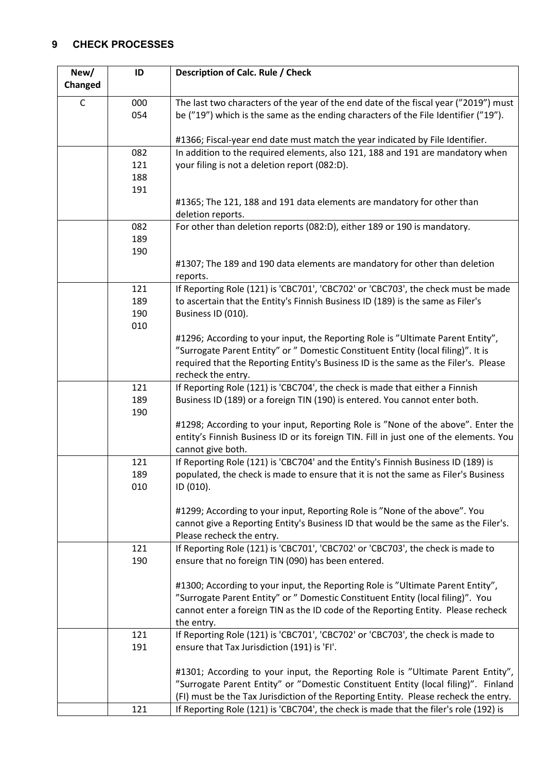## <span id="page-3-0"></span>**9 CHECK PROCESSES**

| New/        | ID  | Description of Calc. Rule / Check                                                                         |
|-------------|-----|-----------------------------------------------------------------------------------------------------------|
| Changed     |     |                                                                                                           |
| $\mathsf C$ | 000 | The last two characters of the year of the end date of the fiscal year ("2019") must                      |
|             | 054 | be ("19") which is the same as the ending characters of the File Identifier ("19").                       |
|             |     |                                                                                                           |
|             |     | #1366; Fiscal-year end date must match the year indicated by File Identifier.                             |
|             | 082 | In addition to the required elements, also 121, 188 and 191 are mandatory when                            |
|             | 121 | your filing is not a deletion report (082:D).                                                             |
|             | 188 |                                                                                                           |
|             | 191 |                                                                                                           |
|             |     | #1365; The 121, 188 and 191 data elements are mandatory for other than                                    |
|             | 082 | deletion reports.<br>For other than deletion reports (082:D), either 189 or 190 is mandatory.             |
|             | 189 |                                                                                                           |
|             | 190 |                                                                                                           |
|             |     | #1307; The 189 and 190 data elements are mandatory for other than deletion                                |
|             |     | reports.                                                                                                  |
|             | 121 | If Reporting Role (121) is 'CBC701', 'CBC702' or 'CBC703', the check must be made                         |
|             | 189 | to ascertain that the Entity's Finnish Business ID (189) is the same as Filer's                           |
|             | 190 | Business ID (010).                                                                                        |
|             | 010 |                                                                                                           |
|             |     | #1296; According to your input, the Reporting Role is "Ultimate Parent Entity",                           |
|             |     | "Surrogate Parent Entity" or " Domestic Constituent Entity (local filing)". It is                         |
|             |     | required that the Reporting Entity's Business ID is the same as the Filer's. Please<br>recheck the entry. |
|             | 121 | If Reporting Role (121) is 'CBC704', the check is made that either a Finnish                              |
|             | 189 | Business ID (189) or a foreign TIN (190) is entered. You cannot enter both.                               |
|             | 190 |                                                                                                           |
|             |     | #1298; According to your input, Reporting Role is "None of the above". Enter the                          |
|             |     | entity's Finnish Business ID or its foreign TIN. Fill in just one of the elements. You                    |
|             |     | cannot give both.                                                                                         |
|             | 121 | If Reporting Role (121) is 'CBC704' and the Entity's Finnish Business ID (189) is                         |
|             | 189 | populated. the check is made to ensure that it is not the same as Filer's Business                        |
|             | 010 | ID (010).                                                                                                 |
|             |     | #1299; According to your input, Reporting Role is "None of the above". You                                |
|             |     | cannot give a Reporting Entity's Business ID that would be the same as the Filer's.                       |
|             |     | Please recheck the entry.                                                                                 |
|             | 121 | If Reporting Role (121) is 'CBC701', 'CBC702' or 'CBC703', the check is made to                           |
|             | 190 | ensure that no foreign TIN (090) has been entered.                                                        |
|             |     |                                                                                                           |
|             |     | #1300; According to your input, the Reporting Role is "Ultimate Parent Entity",                           |
|             |     | "Surrogate Parent Entity" or " Domestic Constituent Entity (local filing)". You                           |
|             |     | cannot enter a foreign TIN as the ID code of the Reporting Entity. Please recheck                         |
|             |     | the entry.                                                                                                |
|             | 121 | If Reporting Role (121) is 'CBC701', 'CBC702' or 'CBC703', the check is made to                           |
|             | 191 | ensure that Tax Jurisdiction (191) is 'FI'.                                                               |
|             |     | #1301; According to your input, the Reporting Role is "Ultimate Parent Entity",                           |
|             |     | "Surrogate Parent Entity" or "Domestic Constituent Entity (local filing)". Finland                        |
|             |     | (FI) must be the Tax Jurisdiction of the Reporting Entity. Please recheck the entry.                      |
|             | 121 | If Reporting Role (121) is 'CBC704', the check is made that the filer's role (192) is                     |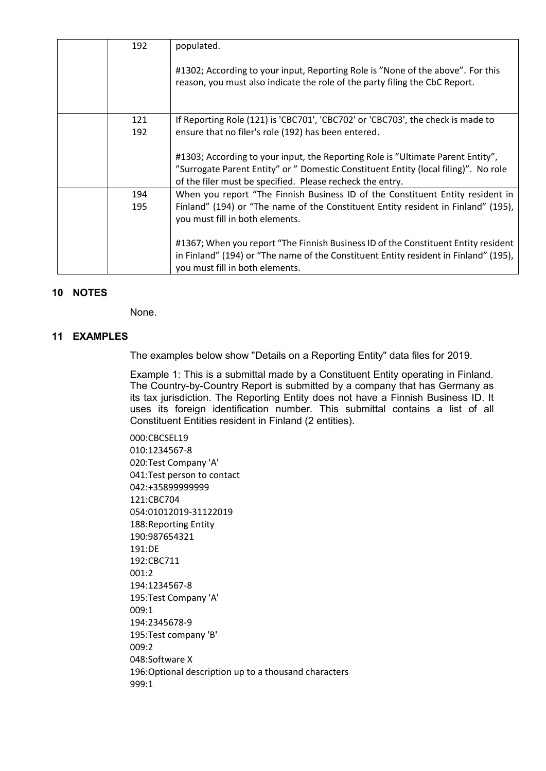| 192 | populated.                                                                                                                                                                                                                          |
|-----|-------------------------------------------------------------------------------------------------------------------------------------------------------------------------------------------------------------------------------------|
|     | #1302; According to your input, Reporting Role is "None of the above". For this<br>reason, you must also indicate the role of the party filing the CbC Report.                                                                      |
| 121 | If Reporting Role (121) is 'CBC701', 'CBC702' or 'CBC703', the check is made to                                                                                                                                                     |
| 192 | ensure that no filer's role (192) has been entered.                                                                                                                                                                                 |
|     | #1303; According to your input, the Reporting Role is "Ultimate Parent Entity",<br>"Surrogate Parent Entity" or " Domestic Constituent Entity (local filing)". No role<br>of the filer must be specified. Please recheck the entry. |
| 194 | When you report "The Finnish Business ID of the Constituent Entity resident in                                                                                                                                                      |
| 195 | Finland" (194) or "The name of the Constituent Entity resident in Finland" (195),<br>you must fill in both elements.                                                                                                                |
|     | #1367; When you report "The Finnish Business ID of the Constituent Entity resident<br>in Finland" (194) or "The name of the Constituent Entity resident in Finland" (195),<br>you must fill in both elements.                       |

#### <span id="page-4-0"></span>**10 NOTES**

None.

#### <span id="page-4-1"></span>**11 EXAMPLES**

The examples below show "Details on a Reporting Entity" data files for 2019.

Example 1: This is a submittal made by a Constituent Entity operating in Finland. The Country-by-Country Report is submitted by a company that has Germany as its tax jurisdiction. The Reporting Entity does not have a Finnish Business ID. It uses its foreign identification number. This submittal contains a list of all Constituent Entities resident in Finland (2 entities).

000:CBCSEL19 010:1234567-8 020:Test Company 'A' 041:Test person to contact 042:+35899999999 121:CBC704 054:01012019-31122019 188:Reporting Entity 190:987654321 191:DE 192:CBC711 001:2 194:1234567-8 195:Test Company 'A' 009:1 194:2345678-9 195:Test company 'B' 009:2 048:Software X 196:Optional description up to a thousand characters 999:1